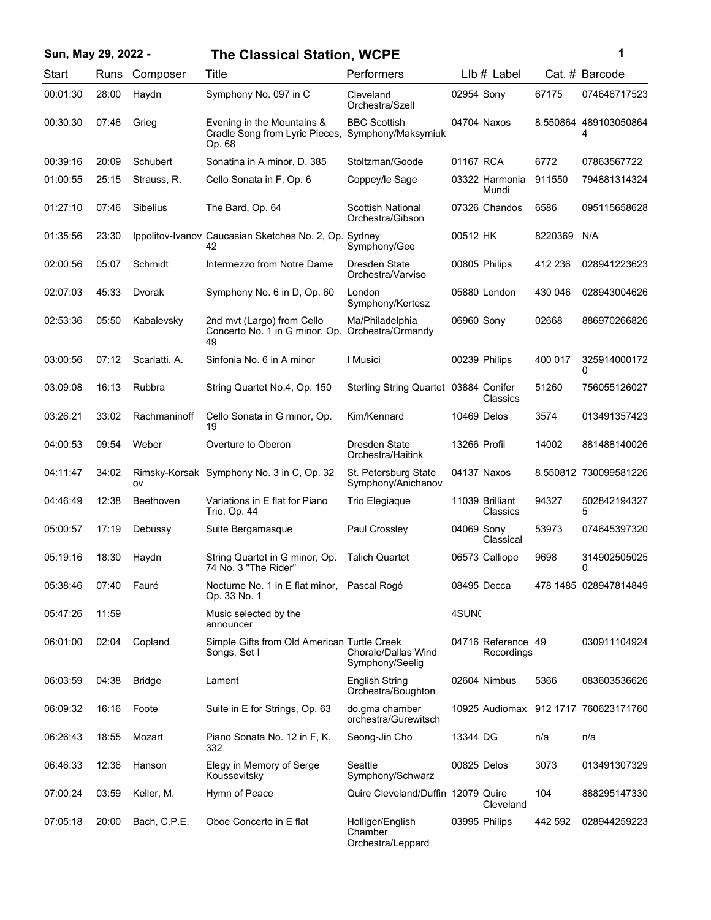| Sun, May 29, 2022 - |             |               | <b>The Classical Station, WCPE</b>                                     |                                                  |              |                                  |         | 1                          |
|---------------------|-------------|---------------|------------------------------------------------------------------------|--------------------------------------------------|--------------|----------------------------------|---------|----------------------------|
| Start               | <b>Runs</b> | Composer      | Title                                                                  | Performers                                       |              | $Llb#$ Label                     |         | Cat. # Barcode             |
| 00:01:30            | 28:00       | Haydn         | Symphony No. 097 in C                                                  | Cleveland<br>Orchestra/Szell                     | 02954 Sony   |                                  | 67175   | 074646717523               |
| 00:30:30            | 07:46       | Grieg         | Evening in the Mountains &<br>Cradle Song from Lyric Pieces,<br>Op. 68 | <b>BBC Scottish</b><br>Symphony/Maksymiuk        |              | 04704 Naxos                      |         | 8.550864 489103050864<br>4 |
| 00:39:16            | 20:09       | Schubert      | Sonatina in A minor, D. 385                                            | Stoltzman/Goode                                  | 01167 RCA    |                                  | 6772    | 07863567722                |
| 01:00:55            | 25:15       | Strauss, R.   | Cello Sonata in F, Op. 6                                               | Coppey/le Sage                                   |              | 03322 Harmonia<br>Mundi          | 911550  | 794881314324               |
| 01:27:10            | 07:46       | Sibelius      | The Bard, Op. 64                                                       | <b>Scottish National</b><br>Orchestra/Gibson     |              | 07326 Chandos                    | 6586    | 095115658628               |
| 01:35:56            | 23:30       |               | Ippolitov-Ivanov Caucasian Sketches No. 2, Op. Sydney<br>42            | Symphony/Gee                                     | 00512 HK     |                                  | 8220369 | N/A                        |
| 02:00:56            | 05:07       | Schmidt       | Intermezzo from Notre Dame                                             | Dresden State<br>Orchestra/Varviso               |              | 00805 Philips                    | 412 236 | 028941223623               |
| 02:07:03            | 45:33       | Dvorak        | Symphony No. 6 in D, Op. 60                                            | London<br>Symphony/Kertesz                       |              | 05880 London                     | 430 046 | 028943004626               |
| 02:53:36            | 05:50       | Kabalevsky    | 2nd mvt (Largo) from Cello<br>Concerto No. 1 in G minor, Op.<br>49     | Ma/Philadelphia<br>Orchestra/Ormandy             | 06960 Sony   |                                  | 02668   | 886970266826               |
| 03:00:56            | 07:12       | Scarlatti, A. | Sinfonia No. 6 in A minor                                              | I Musici                                         |              | 00239 Philips                    | 400 017 | 325914000172<br>0          |
| 03:09:08            | 16:13       | Rubbra        | String Quartet No.4, Op. 150                                           | Sterling String Quartet 03884 Conifer            |              | Classics                         | 51260   | 756055126027               |
| 03:26:21            | 33:02       | Rachmaninoff  | Cello Sonata in G minor, Op.<br>19                                     | Kim/Kennard                                      | 10469 Delos  |                                  | 3574    | 013491357423               |
| 04:00:53            | 09:54       | Weber         | Overture to Oberon                                                     | Dresden State<br>Orchestra/Haitink               | 13266 Profil |                                  | 14002   | 881488140026               |
| 04:11:47            | 34:02       | OV            | Rimsky-Korsak Symphony No. 3 in C, Op. 32                              | St. Petersburg State<br>Symphony/Anichanov       |              | 04137 Naxos                      |         | 8.550812 730099581226      |
| 04:46:49            | 12:38       | Beethoven     | Variations in E flat for Piano<br>Trio, Op. 44                         | Trio Elegiaque                                   |              | 11039 Brilliant<br>Classics      | 94327   | 502842194327<br>5          |
| 05:00:57            | 17:19       | Debussy       | Suite Bergamasque                                                      | Paul Crossley                                    | 04069 Sony   | Classical                        | 53973   | 074645397320               |
| 05:19:16            | 18:30       | Haydn         | String Quartet in G minor, Op.<br>74 No. 3 "The Rider"                 | <b>Talich Quartet</b>                            |              | 06573 Calliope                   | 9698    | 314902505025<br>0          |
| 05:38:46            | 07:40       | Fauré         | Nocturne No. 1 in E flat minor, Pascal Rogé<br>Op. 33 No. 1            |                                                  |              | 08495 Decca                      |         | 478 1485 028947814849      |
| 05:47:26            | 11:59       |               | Music selected by the<br>announcer                                     |                                                  | 4SUNC        |                                  |         |                            |
| 06:01:00            | 02:04       | Copland       | Simple Gifts from Old American Turtle Creek<br>Songs, Set I            | Chorale/Dallas Wind<br>Symphony/Seelig           |              | 04716 Reference 49<br>Recordings |         | 030911104924               |
| 06:03:59            | 04:38       | <b>Bridge</b> | Lament                                                                 | <b>English String</b><br>Orchestra/Boughton      |              | 02604 Nimbus                     | 5366    | 083603536626               |
| 06:09:32            | 16:16       | Foote         | Suite in E for Strings, Op. 63                                         | do.gma chamber<br>orchestra/Gurewitsch           |              | 10925 Audiomax                   |         | 912 1717 760623171760      |
| 06:26:43            | 18:55       | Mozart        | Piano Sonata No. 12 in F, K.<br>332                                    | Seong-Jin Cho                                    | 13344 DG     |                                  | n/a     | n/a                        |
| 06:46:33            | 12:36       | Hanson        | Elegy in Memory of Serge<br>Koussevitsky                               | Seattle<br>Symphony/Schwarz                      | 00825 Delos  |                                  | 3073    | 013491307329               |
| 07:00:24            | 03:59       | Keller, M.    | Hymn of Peace                                                          | Quire Cleveland/Duffin 12079 Quire               |              | Cleveland                        | 104     | 888295147330               |
| 07:05:18            | 20:00       | Bach, C.P.E.  | Oboe Concerto in E flat                                                | Holliger/English<br>Chamber<br>Orchestra/Leppard |              | 03995 Philips                    | 442 592 | 028944259223               |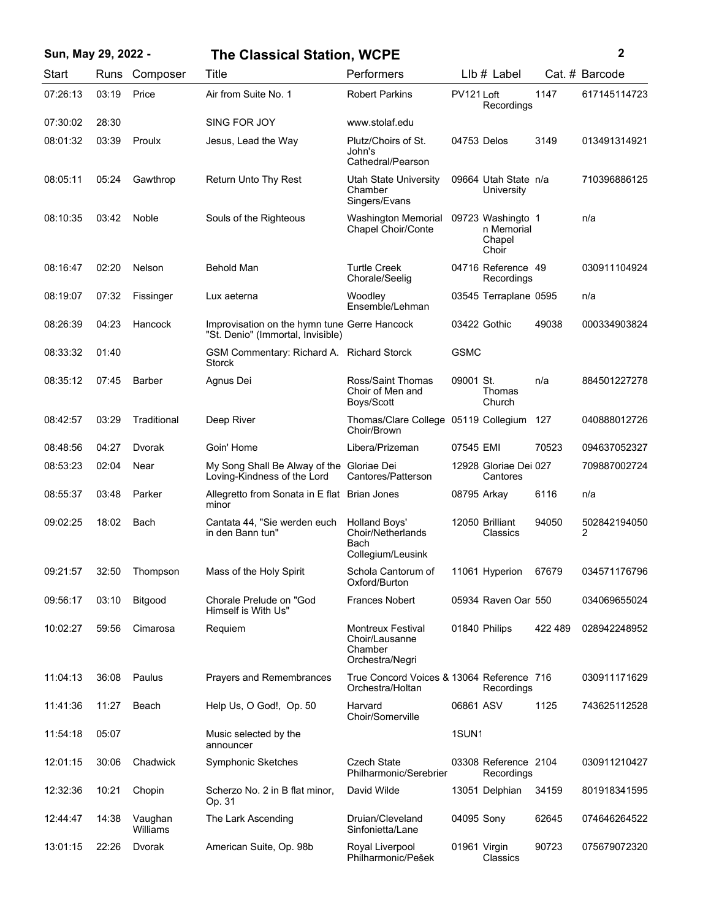## **Sun, May 29, 2022 - 2 The Classical Station, WCPE**

| Start    | Runs  | Composer            | Title                                                                             | Performers                                                               |                   | Llb # Label                                        |         | Cat. # Barcode    |
|----------|-------|---------------------|-----------------------------------------------------------------------------------|--------------------------------------------------------------------------|-------------------|----------------------------------------------------|---------|-------------------|
| 07:26:13 | 03:19 | Price               | Air from Suite No. 1                                                              | <b>Robert Parkins</b>                                                    | PV121 Loft        | Recordings                                         | 1147    | 617145114723      |
| 07:30:02 | 28:30 |                     | SING FOR JOY                                                                      | www.stolaf.edu                                                           |                   |                                                    |         |                   |
| 08:01:32 | 03:39 | Proulx              | Jesus, Lead the Way                                                               | Plutz/Choirs of St.<br>John's<br>Cathedral/Pearson                       | 04753 Delos       |                                                    | 3149    | 013491314921      |
| 08:05:11 | 05:24 | Gawthrop            | Return Unto Thy Rest                                                              | Utah State University<br>Chamber<br>Singers/Evans                        |                   | 09664 Utah State n/a<br>University                 |         | 710396886125      |
| 08:10:35 | 03:42 | Noble               | Souls of the Righteous                                                            | <b>Washington Memorial</b><br>Chapel Choir/Conte                         |                   | 09723 Washingto 1<br>n Memorial<br>Chapel<br>Choir |         | n/a               |
| 08:16:47 | 02:20 | Nelson              | <b>Behold Man</b>                                                                 | <b>Turtle Creek</b><br>Chorale/Seelig                                    |                   | 04716 Reference 49<br>Recordings                   |         | 030911104924      |
| 08:19:07 | 07:32 | Fissinger           | Lux aeterna                                                                       | Woodley<br>Ensemble/Lehman                                               |                   | 03545 Terraplane 0595                              |         | n/a               |
| 08:26:39 | 04:23 | Hancock             | Improvisation on the hymn tune Gerre Hancock<br>"St. Denio" (Immortal, Invisible) |                                                                          |                   | 03422 Gothic                                       | 49038   | 000334903824      |
| 08:33:32 | 01:40 |                     | GSM Commentary: Richard A. Richard Storck<br>Storck                               |                                                                          | <b>GSMC</b>       |                                                    |         |                   |
| 08:35:12 | 07:45 | Barber              | Agnus Dei                                                                         | Ross/Saint Thomas<br>Choir of Men and<br>Boys/Scott                      | 09001 St.         | Thomas<br>Church                                   | n/a     | 884501227278      |
| 08:42:57 | 03:29 | Traditional         | Deep River                                                                        | Thomas/Clare College 05119 Collegium<br>Choir/Brown                      |                   |                                                    | 127     | 040888012726      |
| 08:48:56 | 04:27 | Dvorak              | Goin' Home                                                                        | Libera/Prizeman                                                          | 07545 EMI         |                                                    | 70523   | 094637052327      |
| 08:53:23 | 02:04 | Near                | My Song Shall Be Alway of the Gloriae Dei<br>Loving-Kindness of the Lord          | Cantores/Patterson                                                       |                   | 12928 Gloriae Dei 027<br>Cantores                  |         | 709887002724      |
| 08:55:37 | 03:48 | Parker              | Allegretto from Sonata in E flat Brian Jones<br>minor                             |                                                                          |                   | 08795 Arkay                                        | 6116    | n/a               |
| 09:02:25 | 18:02 | Bach                | Cantata 44, "Sie werden euch<br>in den Bann tun"                                  | <b>Holland Boys'</b><br>Choir/Netherlands<br>Bach<br>Collegium/Leusink   |                   | 12050 Brilliant<br>Classics                        | 94050   | 502842194050<br>2 |
| 09:21:57 | 32:50 | Thompson            | Mass of the Holy Spirit                                                           | Schola Cantorum of<br>Oxford/Burton                                      |                   | 11061 Hyperion                                     | 67679   | 034571176796      |
| 09:56:17 | 03:10 | Bitgood             | Chorale Prelude on "God<br>Himself is With Us"                                    | <b>Frances Nobert</b>                                                    |                   | 05934 Raven Oar 550                                |         | 034069655024      |
| 10:02:27 | 59:56 | Cimarosa            | Requiem                                                                           | <b>Montreux Festival</b><br>Choir/Lausanne<br>Chamber<br>Orchestra/Negri |                   | 01840 Philips                                      | 422 489 | 028942248952      |
| 11:04:13 | 36:08 | Paulus              | Prayers and Remembrances                                                          | True Concord Voices & 13064 Reference 716<br>Orchestra/Holtan            |                   | Recordings                                         |         | 030911171629      |
| 11:41:36 | 11:27 | Beach               | Help Us, O God!, Op. 50                                                           | Harvard<br>Choir/Somerville                                              | 06861 ASV         |                                                    | 1125    | 743625112528      |
| 11:54:18 | 05:07 |                     | Music selected by the<br>announcer                                                |                                                                          | 1SUN <sub>1</sub> |                                                    |         |                   |
| 12:01:15 | 30:06 | Chadwick            | Symphonic Sketches                                                                | <b>Czech State</b><br>Philharmonic/Serebrier                             |                   | 03308 Reference 2104<br>Recordings                 |         | 030911210427      |
| 12:32:36 | 10:21 | Chopin              | Scherzo No. 2 in B flat minor,<br>Op. 31                                          | David Wilde                                                              |                   | 13051 Delphian                                     | 34159   | 801918341595      |
| 12:44:47 | 14:38 | Vaughan<br>Williams | The Lark Ascending                                                                | Druian/Cleveland<br>Sinfonietta/Lane                                     | 04095 Sony        |                                                    | 62645   | 074646264522      |
| 13:01:15 | 22:26 | Dvorak              | American Suite, Op. 98b                                                           | Royal Liverpool<br>Philharmonic/Pešek                                    |                   | 01961 Virgin<br>Classics                           | 90723   | 075679072320      |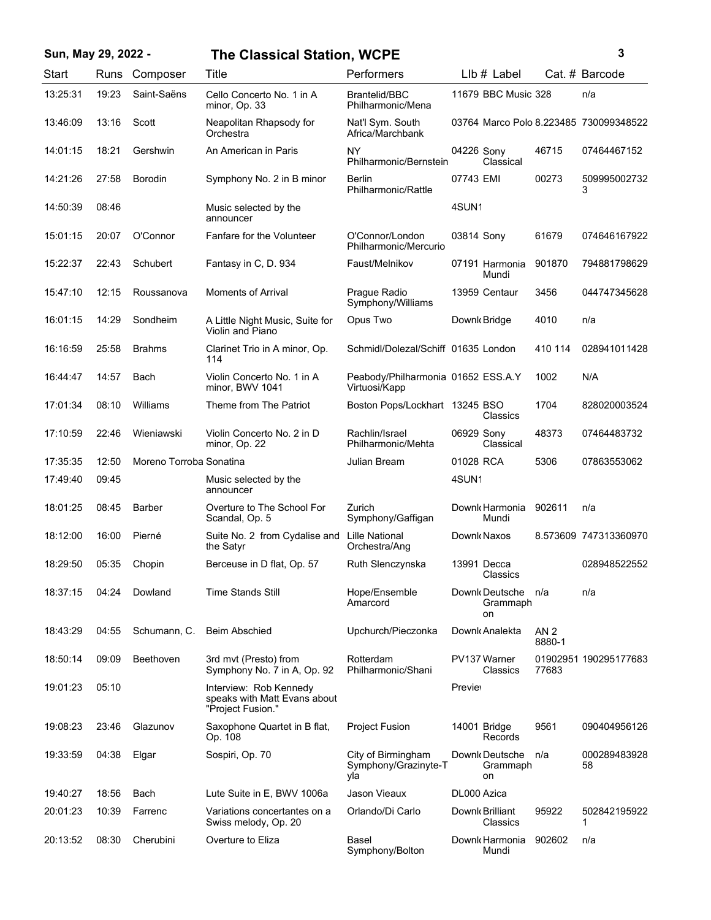| Sun, May 29, 2022 - |       |                         | <b>The Classical Station, WCPE</b>                                          | 3                                                   |                                        |                           |                       |
|---------------------|-------|-------------------------|-----------------------------------------------------------------------------|-----------------------------------------------------|----------------------------------------|---------------------------|-----------------------|
| Start               | Runs  | Composer                | Title                                                                       | Performers                                          | $Llb#$ Label                           |                           | Cat. # Barcode        |
| 13:25:31            | 19:23 | Saint-Saëns             | Cello Concerto No. 1 in A<br>minor, Op. 33                                  | <b>Brantelid/BBC</b><br>Philharmonic/Mena           | 11679 BBC Music 328                    |                           | n/a                   |
| 13:46:09            | 13:16 | Scott                   | Neapolitan Rhapsody for<br>Orchestra                                        | Nat'l Sym. South<br>Africa/Marchbank                | 03764 Marco Polo 8.223485 730099348522 |                           |                       |
| 14:01:15            | 18:21 | Gershwin                | An American in Paris                                                        | NY<br>Philharmonic/Bernstein                        | 04226 Sony<br>Classical                | 46715                     | 07464467152           |
| 14:21:26            | 27:58 | Borodin                 | Symphony No. 2 in B minor                                                   | <b>Berlin</b><br>Philharmonic/Rattle                | 07743 EMI                              | 00273                     | 509995002732<br>3     |
| 14:50:39            | 08:46 |                         | Music selected by the<br>announcer                                          |                                                     | 4SUN1                                  |                           |                       |
| 15:01:15            | 20:07 | O'Connor                | Fanfare for the Volunteer                                                   | O'Connor/London<br>Philharmonic/Mercurio            | 03814 Sony                             | 61679                     | 074646167922          |
| 15:22:37            | 22:43 | Schubert                | Fantasy in C, D. 934                                                        | Faust/Melnikov                                      | 07191 Harmonia<br>Mundi                | 901870                    | 794881798629          |
| 15:47:10            | 12:15 | Roussanova              | Moments of Arrival                                                          | Prague Radio<br>Symphony/Williams                   | 13959 Centaur                          | 3456                      | 044747345628          |
| 16:01:15            | 14:29 | Sondheim                | A Little Night Music, Suite for<br>Violin and Piano                         | Opus Two                                            | Downk Bridge                           | 4010                      | n/a                   |
| 16:16:59            | 25:58 | <b>Brahms</b>           | Clarinet Trio in A minor, Op.<br>114                                        | Schmidl/Dolezal/Schiff 01635 London                 |                                        | 410 114                   | 028941011428          |
| 16:44:47            | 14:57 | Bach                    | Violin Concerto No. 1 in A<br>minor, BWV 1041                               | Peabody/Philharmonia 01652 ESS.A.Y<br>Virtuosi/Kapp |                                        | 1002                      | N/A                   |
| 17:01:34            | 08:10 | Williams                | Theme from The Patriot                                                      | Boston Pops/Lockhart 13245 BSO                      | Classics                               | 1704                      | 828020003524          |
| 17:10:59            | 22:46 | Wieniawski              | Violin Concerto No. 2 in D<br>minor, Op. 22                                 | Rachlin/Israel<br>Philharmonic/Mehta                | 06929 Sony<br>Classical                | 48373                     | 07464483732           |
| 17:35:35            | 12:50 | Moreno Torroba Sonatina |                                                                             | Julian Bream                                        | 01028 RCA                              | 5306                      | 07863553062           |
| 17:49:40            | 09:45 |                         | Music selected by the<br>announcer                                          |                                                     | 4SUN1                                  |                           |                       |
| 18:01:25            | 08:45 | Barber                  | Overture to The School For<br>Scandal, Op. 5                                | Zurich<br>Symphony/Gaffigan                         | Downk Harmonia<br>Mundi                | 902611                    | n/a                   |
| 18:12:00            | 16:00 | Pierné                  | Suite No. 2 from Cydalise and<br>the Satyr                                  | Lille National<br>Orchestra/Ang                     | Downk Naxos                            |                           | 8.573609 747313360970 |
| 18:29:50            | 05:35 | Chopin                  | Berceuse in D flat, Op. 57                                                  | Ruth Slenczynska                                    | 13991 Decca<br>Classics                |                           | 028948522552          |
| 18:37:15            | 04:24 | Dowland                 | <b>Time Stands Still</b>                                                    | Hope/Ensemble<br>Amarcord                           | Downk Deutsche<br>Grammaph<br>on       | n/a                       | n/a                   |
| 18:43:29            | 04:55 | Schumann, C.            | <b>Beim Abschied</b>                                                        | Upchurch/Pieczonka                                  | Downk Analekta                         | AN <sub>2</sub><br>8880-1 |                       |
| 18:50:14            | 09:09 | Beethoven               | 3rd mvt (Presto) from<br>Symphony No. 7 in A, Op. 92                        | Rotterdam<br>Philharmonic/Shani                     | PV137 Warner<br>Classics               | 77683                     | 01902951 190295177683 |
| 19:01:23            | 05:10 |                         | Interview: Rob Kennedy<br>speaks with Matt Evans about<br>"Project Fusion." |                                                     | <b>Previet</b>                         |                           |                       |
| 19:08:23            | 23:46 | Glazunov                | Saxophone Quartet in B flat,<br>Op. 108                                     | <b>Project Fusion</b>                               | 14001 Bridge<br>Records                | 9561                      | 090404956126          |
| 19:33:59            | 04:38 | Elgar                   | Sospiri, Op. 70                                                             | City of Birmingham<br>Symphony/Grazinyte-T<br>yla   | Downk Deutsche<br>Grammaph<br>on       | n/a                       | 000289483928<br>58    |
| 19:40:27            | 18:56 | Bach                    | Lute Suite in E, BWV 1006a                                                  | Jason Vieaux                                        | DL000 Azica                            |                           |                       |
| 20:01:23            | 10:39 | Farrenc                 | Variations concertantes on a<br>Swiss melody, Op. 20                        | Orlando/Di Carlo                                    | Downk Brilliant<br>Classics            | 95922                     | 502842195922<br>1     |
| 20:13:52            | 08:30 | Cherubini               | Overture to Eliza                                                           | Basel<br>Symphony/Bolton                            | Downk Harmonia<br>Mundi                | 902602                    | n/a                   |